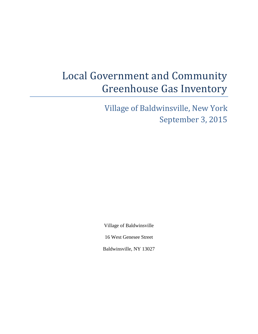# Local Government and Community Greenhouse Gas Inventory

Village of Baldwinsville, New York September 3, 2015

Village of Baldwinsville

16 West Genesee Street

Baldwinsville, NY 13027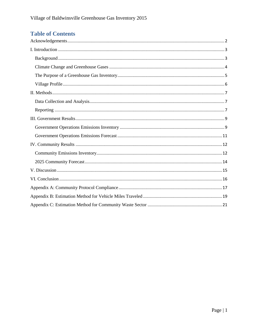## **Table of Contents**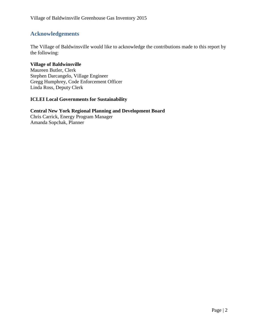## <span id="page-2-0"></span>**Acknowledgements**

The Village of Baldwinsville would like to acknowledge the contributions made to this report by the following:

#### **Village of Baldwinsville**

Maureen Butler, Clerk Stephen Darcangelo, Village Engineer Gregg Humphrey, Code Enforcement Officer Linda Ross, Deputy Clerk

#### **ICLEI Local Governments for Sustainability**

#### **Central New York Regional Planning and Development Board** Chris Carrick, Energy Program Manager

Amanda Sopchak, Planner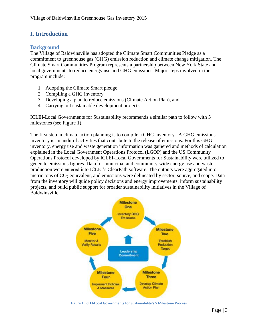## <span id="page-3-0"></span>**I. Introduction**

#### <span id="page-3-1"></span>**Background**

The Village of Baldwinsville has adopted the Climate Smart Communities Pledge as a commitment to greenhouse gas (GHG) emission reduction and climate change mitigation. The Climate Smart Communities Program represents a partnership between New York State and local governments to reduce energy use and GHG emissions. Major steps involved in the program include:

- 1. Adopting the Climate Smart pledge
- 2. Compiling a GHG inventory
- 3. Developing a plan to reduce emissions (Climate Action Plan), and
- 4. Carrying out sustainable development projects.

ICLEI-Local Governments for Sustainability recommends a similar path to follow with 5 milestones (see Figure 1).

The first step in climate action planning is to compile a GHG inventory. A GHG emissions inventory is an audit of activities that contribute to the release of emissions. For this GHG inventory, energy use and waste generation information was gathered and methods of calculation explained in the Local Government Operations Protocol (LGOP) and the US Community Operations Protocol developed by ICLEI-Local Governments for Sustainability were utilized to generate emissions figures. Data for municipal and community-wide energy use and waste production were entered into ICLEI's ClearPath software. The outputs were aggregated into metric tons of  $CO<sub>2</sub>$  equivalent, and emissions were delineated by sector, source, and scope. Data from the inventory will guide policy decisions and energy improvements, inform sustainability projects, and build public support for broader sustainability initiatives in the Village of Baldwinsville.



**Figure 1: ICLEI-Local Governments for Sustainability's 5 Milestone Process**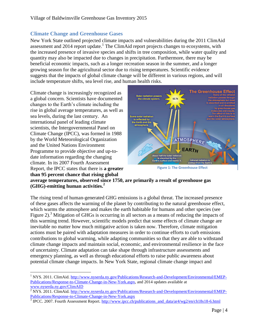## <span id="page-4-0"></span>**Climate Change and Greenhouse Gases**

New York State outlined projected climate impacts and vulnerabilities during the 2011 ClimAid assessment and 2014 report update. 1 The ClimAid report projects changes to ecosystems, with the increased presence of invasive species and shifts in tree composition, while water quality and quantity may also be impacted due to changes in precipitation. Furthermore, there may be beneficial economic impacts, such as a longer recreation season in the summer, and a longer growing season for the agricultural sector due to rising temperatures. Scientific evidence suggests that the impacts of global climate change will be different in various regions, and will include temperature shifts, sea level rise, and human health risks.

Climate change is increasingly recognized as a global concern. Scientists have documented changes to the Earth's climate including the rise in global average temperatures, as well as sea levels, during the last century. An international panel of leading climate scientists, the Intergovernmental Panel on Climate Change (IPCC), was formed in 1988 by the World Meteorological Organization and the United Nations Environment Programme to provide objective and up-todate information regarding the changing climate. In its 2007 Fourth Assessment Report, the IPCC states that there is **a greater than 95 percent chance that rising global** 

l



**Figure 1: The Greenhouse Effect**

**average temperatures, observed since 1750, are primarily a result of greenhouse gas (GHG)-emitting human activities.<sup>2</sup>**

The rising trend of human-generated GHG emissions is a global threat. The increased presence of these gases affects the warming of the planet by contributing to the natural greenhouse effect, which warms the atmosphere and makes the earth habitable for humans and other species (see Figure 2).<sup>3</sup> Mitigation of GHGs is occurring in all sectors as a means of reducing the impacts of this warming trend. However, scientific models predict that some effects of climate change are inevitable no matter how much mitigative action is taken now. Therefore, climate mitigation actions must be paired with adaptation measures in order to continue efforts to curb emissions contributions to global warming, while adapting communities so that they are able to withstand climate change impacts and maintain social, economic, and environmental resilience in the face of uncertainty. Climate adaptation can take shape through infrastructure assessments and emergency planning, as well as through educational efforts to raise public awareness about potential climate change impacts. In New York State, regional climate change impact and

<sup>&</sup>lt;sup>1</sup> NYS. 2011. ClimAid. [http://www.nyserda.ny.gov/Publications/Research-and-Development/Environmental/EMEP-](http://www.nyserda.ny.gov/Publications/Research-and-Development/Environmental/EMEP-Publications/Response-to-Climate-Change-in-New-York.aspx)[Publications/Response-to-Climate-Change-in-New-York.aspx,](http://www.nyserda.ny.gov/Publications/Research-and-Development/Environmental/EMEP-Publications/Response-to-Climate-Change-in-New-York.aspx) and 2014 updates available at [www.nyserda.ny.gov/ClimAID](http://www.nyserda.ny.gov/ClimAID)

<sup>&</sup>lt;sup>2</sup> NYS. 2011. ClimAid. [http://www.nyserda.ny.gov/Publications/Research-and-Development/Environmental/EMEP-](http://www.nyserda.ny.gov/Publications/Research-and-Development/Environmental/EMEP-Publications/Response-to-Climate-Change-in-New-York.aspx)[Publications/Response-to-Climate-Change-in-New-York.aspx](http://www.nyserda.ny.gov/Publications/Research-and-Development/Environmental/EMEP-Publications/Response-to-Climate-Change-in-New-York.aspx)

<sup>&</sup>lt;sup>3</sup> IPCC. 2007. Fourth Assessment Report. [http://www.ipcc.ch/publications\\_and\\_data/ar4/wg2/en/ch18s18-6.html](http://www.ipcc.ch/publications_and_data/ar4/wg2/en/ch18s18-6.html)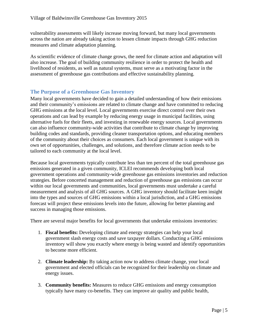vulnerability assessments will likely increase moving forward, but many local governments across the nation are already taking action to lessen climate impacts through GHG reduction measures and climate adaptation planning.

As scientific evidence of climate change grows, the need for climate action and adaptation will also increase. The goal of building community resilience in order to protect the health and livelihood of residents, as well as natural systems, must serve as a motivating factor in the assessment of greenhouse gas contributions and effective sustainability planning.

#### <span id="page-5-0"></span>**The Purpose of a Greenhouse Gas Inventory**

Many local governments have decided to gain a detailed understanding of how their emissions and their community's emissions are related to climate change and have committed to reducing GHG emissions at the local level. Local governments exercise direct control over their own operations and can lead by example by reducing energy usage in municipal facilities, using alternative fuels for their fleets, and investing in renewable energy sources. Local governments can also influence community-wide activities that contribute to climate change by improving building codes and standards, providing cleaner transportation options, and educating members of the community about their choices as consumers. Each local government is unique with its own set of opportunities, challenges, and solutions, and therefore climate action needs to be tailored to each community at the local level.

Because local governments typically contribute less than ten percent of the total greenhouse gas emissions generated in a given community, ICLEI recommends developing both local government operations and community-wide greenhouse gas emissions inventories and reduction strategies. Before concerted management and reduction of greenhouse gas emissions can occur within our local governments and communities, local governments must undertake a careful measurement and analysis of all GHG sources. A GHG inventory should facilitate keen insight into the types and sources of GHG emissions within a local jurisdiction, and a GHG emissions forecast will project these emissions levels into the future, allowing for better planning and success in managing those emissions.

There are several major benefits for local governments that undertake emissions inventories:

- 1. **Fiscal benefits:** Developing climate and energy strategies can help your local government slash energy costs and save taxpayer dollars. Conducting a GHG emissions inventory will show you exactly where energy is being wasted and identify opportunities to become more efficient.
- 2. **Climate leadership:** By taking action now to address climate change, your local government and elected officials can be recognized for their leadership on climate and energy issues.
- 3. **Community benefits:** Measures to reduce GHG emissions and energy consumption typically have many co-benefits. They can improve air quality and public health,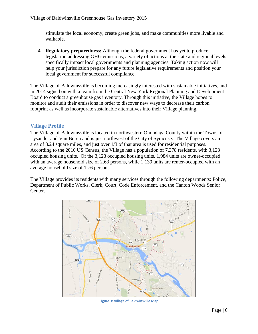stimulate the local economy, create green jobs, and make communities more livable and walkable.

4. **Regulatory preparedness:** Although the federal government has yet to produce legislation addressing GHG emissions, a variety of actions at the state and regional levels specifically impact local governments and planning agencies. Taking action now will help your jurisdiction prepare for any future legislative requirements and position your local government for successful compliance.

The Village of Baldwinsville is becoming increasingly interested with sustainable initiatives, and in 2014 signed on with a team from the Central New York Regional Planning and Development Board to conduct a greenhouse gas inventory. Through this initiative, the Village hopes to monitor and audit their emissions in order to discover new ways to decrease their carbon footprint as well as incorporate sustainable alternatives into their Village planning.

#### <span id="page-6-0"></span>**Village Profile**

The Village of Baldwinsville is located in northwestern Onondaga County within the Towns of Lysander and Van Buren and is just northwest of the City of Syracuse. The Village covers an area of 3.24 square miles, and just over 1/3 of that area is used for residential purposes. According to the 2010 US Census, the Village has a population of 7,378 residents, with 3,123 occupied housing units. Of the 3,123 occupied housing units, 1,984 units are owner-occupied with an average household size of 2.63 persons, while 1,139 units are renter-occupied with an average household size of 1.76 persons.

The Village provides its residents with many services through the following departments: Police, Department of Public Works, Clerk, Court, Code Enforcement, and the Canton Woods Senior Center.



**Figure 3: Village of Baldwinsville Map**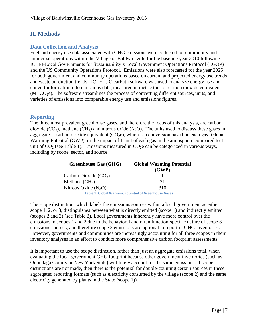## <span id="page-7-0"></span>**II. Methods**

### <span id="page-7-1"></span>**Data Collection and Analysis**

Fuel and energy use data associated with GHG emissions were collected for community and municipal operations within the Village of Baldwinsville for the baseline year 2010 following ICLEI-Local Governments for Sustainability's Local Government Operations Protocol (LGOP) and the US Community Operations Protocol. Emissions were also forecasted for the year 2025 for both government and community operations based on current and projected energy use trends and waste production trends. ICLEI's ClearPath software was used to analyze energy use and convert information into emissions data, measured in metric tons of carbon dioxide equivalent (MTCO<sub>2</sub>e). The software streamlines the process of converting different sources, units, and varieties of emissions into comparable energy use and emissions figures.

#### <span id="page-7-2"></span>**Reporting**

The three most prevalent greenhouse gases, and therefore the focus of this analysis, are carbon dioxide  $(CO_2)$ , methane  $(CH_4)$  and nitrous oxide  $(N_2O)$ . The units used to discuss these gases in aggregate is carbon dioxide equivalent  $(CO<sub>2</sub>e)$ , which is a conversion based on each gas' Global Warming Potential (GWP), or the impact of 1 unit of each gas in the atmosphere compared to 1 unit of  $CO<sub>2</sub>$  (see Table 1). Emissions measured in  $CO<sub>2</sub>e$  can be categorized in various ways, including by scope, sector, and source.

| <b>Greenhouse Gas (GHG)</b> | <b>Global Warming Potential</b><br>(GWP) |
|-----------------------------|------------------------------------------|
| Carbon Dioxide $(CO2)$      |                                          |
| Methane $(CH_4)$            | 21                                       |
| Nitrous Oxide $(N_2O)$      | 310                                      |

**Table 1: Global Warming Potential of Greenhouse Gases**

The scope distinction, which labels the emissions sources within a local government as either scope 1, 2, or 3, distinguishes between what is directly emitted (scope 1) and indirectly emitted (scopes 2 and 3) (see Table 2). Local governments inherently have more control over the emissions in scopes 1 and 2 due to the behavioral and often function-specific nature of scope 3 emissions sources, and therefore scope 3 emissions are optional to report in GHG inventories. However, governments and communities are increasingly accounting for all three scopes in their inventory analyses in an effort to conduct more comprehensive carbon footprint assessments.

It is important to use the scope distinction, rather than just an aggregate emissions total, when evaluating the local government GHG footprint because other government inventories (such as Onondaga County or New York State) will likely account for the same emissions. If scope distinctions are not made, then there is the potential for double-counting certain sources in these aggregated reporting formats (such as electricity consumed by the village (scope 2) and the same electricity generated by plants in the State (scope 1)).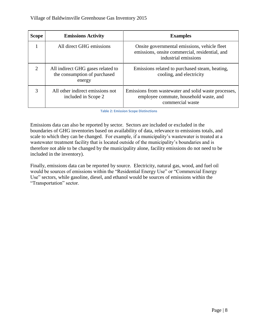| <b>Scope</b>          | <b>Emissions Activity</b>                                                   | <b>Examples</b>                                                                                                        |
|-----------------------|-----------------------------------------------------------------------------|------------------------------------------------------------------------------------------------------------------------|
|                       | All direct GHG emissions                                                    | Onsite governmental emissions, vehicle fleet<br>emissions, onsite commercial, residential, and<br>industrial emissions |
| $\mathcal{D}_{\cdot}$ | All indirect GHG gases related to<br>the consumption of purchased<br>energy | Emissions related to purchased steam, heating,<br>cooling, and electricity                                             |
| 3                     | All other indirect emissions not<br>included in Scope 2                     | Emissions from was tewater and solid was te processes,<br>employee commute, household waste, and<br>commercial waste   |

**Table 2: Emission Scope Distinctions**

Emissions data can also be reported by sector. Sectors are included or excluded in the boundaries of GHG inventories based on availability of data, relevance to emissions totals, and scale to which they can be changed. For example, if a municipality's wastewater is treated at a wastewater treatment facility that is located outside of the municipality's boundaries and is therefore not able to be changed by the municipality alone, facility emissions do not need to be included in the inventory).

Finally, emissions data can be reported by source. Electricity, natural gas, wood, and fuel oil would be sources of emissions within the "Residential Energy Use" or "Commercial Energy Use" sectors, while gasoline, diesel, and ethanol would be sources of emissions within the "Transportation" sector.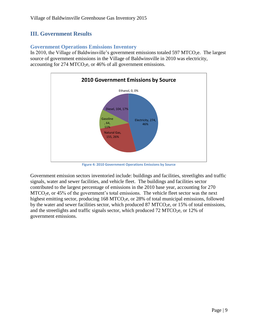## <span id="page-9-0"></span>**III. Government Results**

#### <span id="page-9-1"></span>**Government Operations Emissions Inventory**

In 2010, the Village of Baldwinsville's government emissions totaled 597 MTCO<sub>2</sub>e. The largest source of government emissions in the Village of Baldwinsville in 2010 was electricity, accounting for  $274 \text{ MTCO}_2$ e, or  $46\%$  of all government emissions.



**Figure 4: 2010 Government Operations Emissions by Source**

Government emission sectors inventoried include: buildings and facilities, streetlights and traffic signals, water and sewer facilities, and vehicle fleet. The buildings and facilities sector contributed to the largest percentage of emissions in the 2010 base year, accounting for 270  $MTCO<sub>2</sub>e$ , or 45% of the government's total emissions. The vehicle fleet sector was the next highest emitting sector, producing  $168 \text{ MTCO}_2$ , or  $28\%$  of total municipal emissions, followed by the water and sewer facilities sector, which produced  $87 \text{ MTCO}_2$ e, or  $15\%$  of total emissions, and the streetlights and traffic signals sector, which produced  $72 \text{ MTCO}_2$ e, or 12% of government emissions.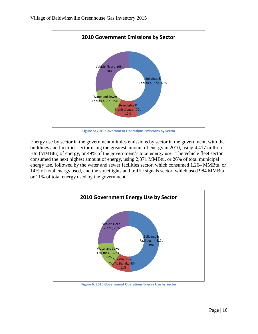

**Figure 5: 2010 Government Operations Emissions by Sector**

Energy use by sector in the government mimics emissions by sector in the government, with the buildings and facilities sector using the greatest amount of energy in 2010, using 4,417 million Btu (MMBtu) of energy, or 49% of the government's total energy use. The vehicle fleet sector consumed the next highest amount of energy, using 2,371 MMBtu, or 26% of total municipal energy use, followed by the water and sewer facilities sector, which consumed 1,264 MMBtu, or 14% of total energy used, and the streetlights and traffic signals sector, which used 984 MMBtu, or 11% of total energy used by the government.



**Figure 6: 2010 Government Operations Energy Use by Sector**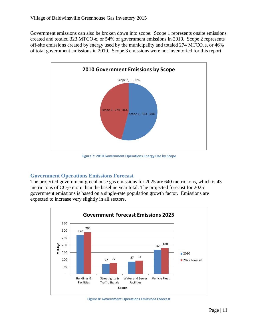Government emissions can also be broken down into scope. Scope 1 represents onsite emissions created and totaled 323 MTCO<sub>2</sub>e, or 54% of government emissions in 2010. Scope 2 represents off-site emissions created by energy used by the municipality and totaled  $274 \text{ MTCO}_{2}$ e, or 46% of total government emissions in 2010. Scope 3 emissions were not inventoried for this report.



**Figure 7: 2010 Government Operations Energy Use by Scope**

#### <span id="page-11-0"></span>**Government Operations Emissions Forecast**

The projected government greenhouse gas emissions for 2025 are 640 metric tons, which is 43 metric tons of  $CO<sub>2</sub>e$  more than the baseline year total. The projected forecast for 2025 government emissions is based on a single-rate population growth factor. Emissions are expected to increase very slightly in all sectors.



**Figure 8: Government Operations Emissions Forecast**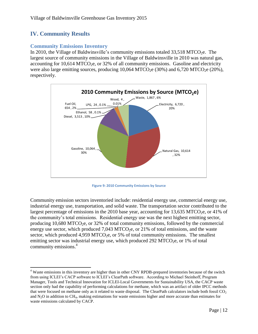## <span id="page-12-0"></span>**IV. Community Results**

 $\overline{\phantom{a}}$ 

#### <span id="page-12-1"></span>**Community Emissions Inventory**

In 2010, the Village of Baldwinsville's community emissions totaled  $33,518$  MTCO<sub>2</sub>e. The largest source of community emissions in the Village of Baldwinsville in 2010 was natural gas, accounting for  $10,614$  MTCO<sub>2</sub>e, or  $32\%$  of all community emissions. Gasoline and electricity were also large emitting sources, producing  $10,064 \text{ MTCO}_2$ e (30%) and 6,720 MTCO<sub>2</sub>e (20%), respectively.



**Figure 9: 2010 Community Emissions by Source**

Community emission sectors inventoried include: residential energy use, commercial energy use, industrial energy use, transportation, and solid waste. The transportation sector contributed to the largest percentage of emissions in the 2010 base year, accounting for 13,635 MTCO<sub>2</sub>e, or 41% of the community's total emissions. Residential energy use was the next highest emitting sector, producing  $10,680$  MTCO<sub>2</sub>e, or 32% of total community emissions, followed by the commercial energy use sector, which produced  $7,043$  MTCO<sub>2</sub>e, or 21% of total emissions, and the waste sector, which produced  $4.959$  MTCO<sub>2</sub>e, or 5% of total community emissions. The smallest emitting sector was industrial energy use, which produced  $292 \text{ MTCO}_2$ e, or 1% of total community emissions. 4

<sup>&</sup>lt;sup>4</sup> Waste emissions in this inventory are higher than in other CNY RPDB-prepared inventories because of the switch from using ICLEI's CACP software to ICLEI's ClearPath software. According to Michael Steinhoff, Program Manager, Tools and Technical Innovation for ICLEI-Local Governments for Sustainability USA, the CACP waste section only had the capability of performing calculations for methane, which was an artifact of older IPCC methods that were focused on methane only as it related to waste disposal. The ClearPath calculators include both fossil  $CO<sub>2</sub>$ and  $N_2O$  in addition to CH<sub>4</sub>, making estimations for waste emissions higher and more accurate than estimates for waste emissions calculated by CACP.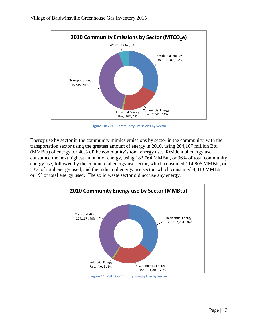

**Figure 10: 2010 Community Emissions by Sector**

Energy use by sector in the community mimics emissions by sector in the community, with the transportation sector using the greatest amount of energy in 2010, using 204,167 million Btu (MMBtu) of energy, or 40% of the community's total energy use. Residential energy use consumed the next highest amount of energy, using 182,764 MMBtu, or 36% of total community energy use, followed by the commercial energy use sector, which consumed 114,806 MMBtu, or 23% of total energy used, and the industrial energy use sector, which consumed 4,013 MMBtu, or 1% of total energy used. The solid waste sector did not use any energy.



**Figure 11: 2010 Community Energy Use by Sector**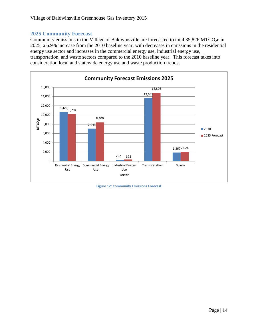#### <span id="page-14-0"></span>**2025 Community Forecast**

Community emissions in the Village of Baldwinsville are forecasted to total  $35,826$  MTCO<sub>2</sub>e in 2025, a 6.9% increase from the 2010 baseline year, with decreases in emissions in the residential energy use sector and increases in the commercial energy use, industrial energy use, transportation, and waste sectors compared to the 2010 baseline year. This forecast takes into consideration local and statewide energy use and waste production trends.



**Figure 12: Community Emissions Forecast**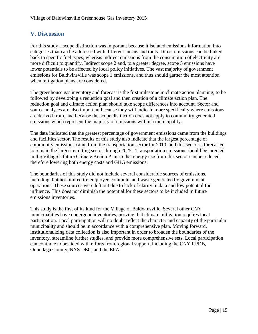## <span id="page-15-0"></span>**V. Discussion**

For this study a scope distinction was important because it isolated emissions information into categories that can be addressed with different means and tools. Direct emissions can be linked back to specific fuel types, whereas indirect emissions from the consumption of electricity are more difficult to quantify. Indirect scope 2 and, to a greater degree, scope 3 emissions have lower potentials to be affected by local policy initiatives. The vast majority of government emissions for Baldwinsville was scope 1 emissions, and thus should garner the most attention when mitigation plans are considered.

The greenhouse gas inventory and forecast is the first milestone in climate action planning, to be followed by developing a reduction goal and then creation of a climate action plan. The reduction goal and climate action plan should take scope differences into account. Sector and source analyses are also important because they will indicate more specifically where emissions are derived from, and because the scope distinction does not apply to community generated emissions which represent the majority of emissions within a municipality.

The data indicated that the greatest percentage of government emissions came from the buildings and facilities sector. The results of this study also indicate that the largest percentage of community emissions came from the transportation sector for 2010, and this sector is forecasted to remain the largest emitting sector through 2025. Transportation emissions should be targeted in the Village's future Climate Action Plan so that energy use from this sector can be reduced, therefore lowering both energy costs and GHG emissions.

The boundaries of this study did not include several considerable sources of emissions, including, but not limited to: employee commute, and waste generated by government operations. These sources were left out due to lack of clarity in data and low potential for influence. This does not diminish the potential for these sectors to be included in future emissions inventories.

This study is the first of its kind for the Village of Baldwinsville. Several other CNY municipalities have undergone inventories, proving that climate mitigation requires local participation. Local participation will no doubt reflect the character and capacity of the particular municipality and should be in accordance with a comprehensive plan. Moving forward, institutionalizing data collection is also important in order to broaden the boundaries of the inventory, streamline further studies, and provide more comprehensive sets. Local participation can continue to be aided with efforts from regional support, including the CNY RPDB, Onondaga County, NYS DEC, and the EPA.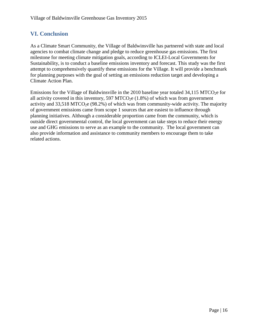## <span id="page-16-0"></span>**VI. Conclusion**

As a Climate Smart Community, the Village of Baldwinsville has partnered with state and local agencies to combat climate change and pledge to reduce greenhouse gas emissions. The first milestone for meeting climate mitigation goals, according to ICLEI-Local Governments for Sustainability, is to conduct a baseline emissions inventory and forecast. This study was the first attempt to comprehensively quantify these emissions for the Village. It will provide a benchmark for planning purposes with the goal of setting an emissions reduction target and developing a Climate Action Plan.

Emissions for the Village of Baldwinsville in the 2010 baseline year totaled  $34,115$  MTCO<sub>2</sub>e for all activity covered in this inventory, 597 MTCO<sub>2</sub>e  $(1.8\%)$  of which was from government activity and  $33,518$  MTCO<sub>2</sub>e (98.2%) of which was from community-wide activity. The majority of government emissions came from scope 1 sources that are easiest to influence through planning initiatives. Although a considerable proportion came from the community, which is outside direct governmental control, the local government can take steps to reduce their energy use and GHG emissions to serve as an example to the community. The local government can also provide information and assistance to community members to encourage them to take related actions.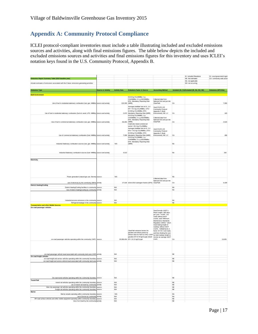## <span id="page-17-0"></span>**Appendix A: Community Protocol Compliance**

ICLEI protocol‐compliant inventories must include a table illustrating included and excluded emissions sources and activities, along with final emissions figures. The table below depicts the included and excluded emissions sources and activities and final emissions figures for this inventory and uses ICLEI's notation keys found in the U.S. Community Protocol, Appendix B.

|                                                                                                                                       |                           |                      |                                                                                                                                                                                                                                                |                                                                                                                                                                                                                                                                                                                                  |                        | IE- Included Elsewhere                      | SI- Local government signit |
|---------------------------------------------------------------------------------------------------------------------------------------|---------------------------|----------------------|------------------------------------------------------------------------------------------------------------------------------------------------------------------------------------------------------------------------------------------------|----------------------------------------------------------------------------------------------------------------------------------------------------------------------------------------------------------------------------------------------------------------------------------------------------------------------------------|------------------------|---------------------------------------------|-----------------------------|
| Emissions Report Summary Table (2010 baseline year)                                                                                   |                           |                      |                                                                                                                                                                                                                                                |                                                                                                                                                                                                                                                                                                                                  |                        | NE- Not estimated<br>NA- not applicable     | CA- community-wide activit  |
| Include estimates of emissions associated with the 5 basic emissions generating activities                                            |                           |                      |                                                                                                                                                                                                                                                |                                                                                                                                                                                                                                                                                                                                  |                        | NO- not occurring                           |                             |
|                                                                                                                                       |                           |                      |                                                                                                                                                                                                                                                |                                                                                                                                                                                                                                                                                                                                  |                        |                                             |                             |
| <b>Emissions Type</b>                                                                                                                 | <b>Source or Activity</b> | <b>Activity Data</b> | <b>Emissions Factor &amp; Source</b>                                                                                                                                                                                                           | <b>Accounting Method</b>                                                                                                                                                                                                                                                                                                         |                        | Included (SI, CA) Excluded (IE, NA, NO, NE) | Emissions (MTCO2e)          |
|                                                                                                                                       |                           |                      |                                                                                                                                                                                                                                                |                                                                                                                                                                                                                                                                                                                                  |                        |                                             |                             |
| <b>Built Environment</b>                                                                                                              |                           |                      | 53.02 kg CO <sub>2</sub> /MMBtu; 1 g                                                                                                                                                                                                           |                                                                                                                                                                                                                                                                                                                                  |                        |                                             |                             |
| Use of fuel in residential stationary combustion (nat. gas- MMBtu) source and activity                                                |                           | 133,339 (MRR)        | CH4/MMBtu; 0.1 g N2O/MMBtu;<br>EPA Mandatory Reporting Rule                                                                                                                                                                                    | Collected data from<br>National Grid and put into<br>ClearPath                                                                                                                                                                                                                                                                   | CA                     |                                             | 7.090                       |
|                                                                                                                                       |                           |                      | Averaged distillate fuel oil #1, 2,4<br>EF= 74.5 kg CO <sub>2</sub> /MMBtu; LPG=                                                                                                                                                               | Used ICLEI's US<br>Community Protocol                                                                                                                                                                                                                                                                                            |                        |                                             |                             |
| Use of fuel in residential stationary combustion (fuel oil, wood, LPG- MMBtu) source and activity                                     |                           |                      | 62.98 kg CO2/MMBtu; EPA<br>2,670 Mandatory Reporting Rule (MRR)<br>53.02 kg CO <sub>2</sub> /MMBtu; 1 g                                                                                                                                        | Appendix C (Built<br>Environment), BE 1.2                                                                                                                                                                                                                                                                                        | CA                     |                                             | 183                         |
| Use of fuel in commercial stationary combustion (nat. gas- MMBtu) source and activity                                                 |                           | 66,265 (MRR)         | CH4/MMBtu; 0.1 g N2O/MMBtu;<br>EPA Mandatory Reporting Rule                                                                                                                                                                                    | Collected data from<br>National Grid and put into<br>ClearPath                                                                                                                                                                                                                                                                   | CA                     |                                             | 3,524                       |
|                                                                                                                                       |                           |                      | Coal/coke mixed commercial<br>sector= 93.4 kg CO <sub>2</sub> /MMBtu;<br>Averaged distillate fuel oil #1, 2,4<br>EFs= 74.5 kg CO2/MMBtu; LPG=<br>62.98 kg CO <sub>2</sub> /MMBtu; EPA                                                          | Used ICLEI's US<br>Community Protocol<br>Appendix C (Built                                                                                                                                                                                                                                                                       |                        |                                             |                             |
| Use of commercial stationary combustion (fuel- MMBtu) source and activity                                                             |                           |                      | 7,098 Mandatory Reporting Rule (MRR)<br>53.02 kg CO2/MMBtu; 1 g<br>CH4/MMBtu; 0.1 g N2O/MMBtu;<br>EPA Mandatory Reporting Rule                                                                                                                 | Environment), BE 1.3                                                                                                                                                                                                                                                                                                             | CA                     |                                             | 499                         |
| Industrial Stationary combustion sources (nat. gas- MMBtu) source and activity                                                        |                           | <b>N/A</b>           | (MRR)                                                                                                                                                                                                                                          |                                                                                                                                                                                                                                                                                                                                  | <b>NA</b>              |                                             |                             |
|                                                                                                                                       |                           |                      |                                                                                                                                                                                                                                                |                                                                                                                                                                                                                                                                                                                                  |                        |                                             |                             |
| Industrial Stationary combustion sources (fuel- MMBtu) source and activity                                                            |                           | 4.013                |                                                                                                                                                                                                                                                |                                                                                                                                                                                                                                                                                                                                  | <b>NA</b>              |                                             | 292                         |
| Electricity                                                                                                                           |                           |                      |                                                                                                                                                                                                                                                |                                                                                                                                                                                                                                                                                                                                  |                        |                                             |                             |
| Power generation (natural gas use- therms) source                                                                                     |                           | <b>N/A</b>           |                                                                                                                                                                                                                                                |                                                                                                                                                                                                                                                                                                                                  | <b>NA</b>              |                                             |                             |
|                                                                                                                                       |                           |                      |                                                                                                                                                                                                                                                | Collected data from<br>National Grid and put into                                                                                                                                                                                                                                                                                |                        |                                             |                             |
| use of electricity by the community (MWh) activity<br><b>District Heating/Cooling</b>                                                 |                           |                      | 27,018 eGrid 2010 subregion factors (EPA) ClearPath                                                                                                                                                                                            |                                                                                                                                                                                                                                                                                                                                  | CA                     |                                             | 6,428                       |
| District Heating/Cooling facilities in community source                                                                               |                           | N/A                  |                                                                                                                                                                                                                                                |                                                                                                                                                                                                                                                                                                                                  | <b>NA</b>              |                                             |                             |
| Use of district heating/cooling by community activity<br>Industrial process emissions in the community source                         |                           | N/A<br>N/A           |                                                                                                                                                                                                                                                |                                                                                                                                                                                                                                                                                                                                  | <b>NA</b><br><b>NA</b> |                                             |                             |
| Refrigerant leakage in the community source                                                                                           |                           | <b>N/A</b>           |                                                                                                                                                                                                                                                |                                                                                                                                                                                                                                                                                                                                  | <b>NE</b>              |                                             |                             |
| <b>Transportation and other Mobile Sources</b>                                                                                        |                           |                      |                                                                                                                                                                                                                                                |                                                                                                                                                                                                                                                                                                                                  |                        |                                             |                             |
| On-road passenger vehicles<br>on-road passenger vehicles operating within the community (VMT) source                                  |                           |                      | ClearPath emission factors for<br>gasoline and diesel (varies by<br>vehicle class for N2O & CH4): LGOP by total roadway length to<br>gasoline EF=8.78 kgCO2/gal; diesel receive an average AADT<br>29,398,454 EF= 10.21 kgCO <sub>2</sub> /gal | Used formula: AADT x<br>Road Length x 365 days<br>per year = AVMT. For<br>roads without AADT<br>counts, used "Minimum<br>Maintenance Standards<br>Regulation 239/02," which<br>meant taking length of<br>roadway without AADT<br>counts, multiplying by a<br>factor of 6 for rural roads,<br>and then dividing the sum<br>count. | CA                     |                                             | 13,635                      |
|                                                                                                                                       |                           |                      |                                                                                                                                                                                                                                                |                                                                                                                                                                                                                                                                                                                                  |                        |                                             |                             |
| on-road passenger vehicle travel associated with community land uses (VMT) activity<br>On-road freight vehicles                       |                           | N/A                  |                                                                                                                                                                                                                                                |                                                                                                                                                                                                                                                                                                                                  | $_{\rm NE}$            |                                             |                             |
| on-road freight and service vehicles operating within the community boundary source                                                   |                           | N/A                  |                                                                                                                                                                                                                                                |                                                                                                                                                                                                                                                                                                                                  | <b>NE</b>              |                                             |                             |
| on-road freight and service vehicle travel associated with community land uses activity                                               |                           | N/A                  |                                                                                                                                                                                                                                                |                                                                                                                                                                                                                                                                                                                                  | <b>NE</b>              |                                             |                             |
| On-road transit vehicles operating within the community boundary source                                                               |                           | <b>N/A</b>           |                                                                                                                                                                                                                                                |                                                                                                                                                                                                                                                                                                                                  | <b>NE</b>              |                                             |                             |
| <b>Transit Rail</b>                                                                                                                   |                           |                      |                                                                                                                                                                                                                                                |                                                                                                                                                                                                                                                                                                                                  |                        |                                             |                             |
| transit rail vehicles operating within the community boundary source                                                                  |                           | N/A<br>N/A           |                                                                                                                                                                                                                                                |                                                                                                                                                                                                                                                                                                                                  | <b>NE</b><br><b>NE</b> |                                             |                             |
| use of transit rail travel by community activity<br>Inter-city passenger rail vehicles operating within the community boundary source |                           | N/A                  |                                                                                                                                                                                                                                                |                                                                                                                                                                                                                                                                                                                                  | $_{\rm NE}$            |                                             |                             |
| Freight rail vehicles operating within the community boundary source                                                                  |                           | N/A                  |                                                                                                                                                                                                                                                |                                                                                                                                                                                                                                                                                                                                  | <b>NE</b>              |                                             |                             |
| Marine<br>Marine vessels operating within community boundary source                                                                   |                           | <b>N/A</b>           |                                                                                                                                                                                                                                                |                                                                                                                                                                                                                                                                                                                                  | <b>NA</b>              |                                             |                             |
| use of ferries by community activity                                                                                                  |                           | <b>N/A</b>           |                                                                                                                                                                                                                                                |                                                                                                                                                                                                                                                                                                                                  | <b>NA</b>              |                                             |                             |
| Off-road surface vehicles and other mobile equipment operating within community boundary source                                       |                           | N/A                  |                                                                                                                                                                                                                                                |                                                                                                                                                                                                                                                                                                                                  | <b>NE</b>              |                                             |                             |
| Use of air travel by the community activity                                                                                           |                           | N/A                  |                                                                                                                                                                                                                                                |                                                                                                                                                                                                                                                                                                                                  | <b>NE</b>              |                                             |                             |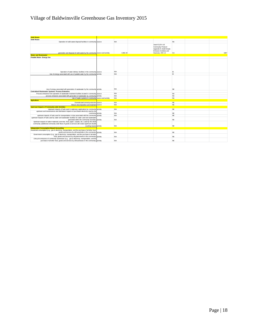## Village of Baldwinsville Greenhouse Gas Inventory 2015

| <b>Solid Waste</b>                                                                                                                                                                                                          |            |                                                                                                                 |           |      |
|-----------------------------------------------------------------------------------------------------------------------------------------------------------------------------------------------------------------------------|------------|-----------------------------------------------------------------------------------------------------------------|-----------|------|
| <b>Solid Waste</b>                                                                                                                                                                                                          |            |                                                                                                                 |           |      |
| Operation of solid waste disposal facilities in community source                                                                                                                                                            | <b>N/A</b> |                                                                                                                 | <b>NA</b> |      |
| generation and disposal of solid waste by the community source and activity                                                                                                                                                 | 4.982.40   | Used ICLEI's US<br>Community Protocol<br>Appendix E (Solid Waste<br>Emission Activities and<br>Sources), SW 2.2 | CA        | 1867 |
| <b>Water and Wastewater</b>                                                                                                                                                                                                 |            |                                                                                                                 |           |      |
| Potable Water- Energy Use                                                                                                                                                                                                   |            |                                                                                                                 |           |      |
| Operation of water delivery facilities in the community source                                                                                                                                                              | <b>N/A</b> |                                                                                                                 | IE.       |      |
| Use of energy associated with use of potable water by the community activity                                                                                                                                                | N/A        |                                                                                                                 | IE        |      |
| Use of energy associated with generation of wastewater by the community activity                                                                                                                                            | <b>N/A</b> |                                                                                                                 | <b>NE</b> |      |
| <b>Centralized Wastewater Systems- Process Emissions</b>                                                                                                                                                                    |            |                                                                                                                 |           |      |
| Process emissions from operation of wastewater treatment facilities located in community source                                                                                                                             | <b>N/A</b> |                                                                                                                 | <b>NA</b> |      |
| process emissions associated with generation of wastewater by community activity                                                                                                                                            | <b>N/A</b> |                                                                                                                 | <b>NA</b> |      |
| Use of septic systems in community source and activity                                                                                                                                                                      | <b>N/A</b> |                                                                                                                 | <b>NA</b> |      |
| <b>Agriculture</b>                                                                                                                                                                                                          |            |                                                                                                                 |           |      |
| Domesticated animal production source                                                                                                                                                                                       | <b>N/A</b> |                                                                                                                 | <b>NE</b> |      |
| Manure decomposition and treatment source                                                                                                                                                                                   | N/A        |                                                                                                                 | <b>NE</b> |      |
| <b>Upstream Impacts of Community-wide Activities</b>                                                                                                                                                                        |            |                                                                                                                 |           |      |
| Upstream impacts of fuels used in stationary applications by community activity                                                                                                                                             | <b>N/A</b> |                                                                                                                 | <b>NE</b> |      |
| upstream and transmissions and distribution impacts of purchased electricity used by the                                                                                                                                    |            |                                                                                                                 |           |      |
| community activity                                                                                                                                                                                                          | <b>N/A</b> |                                                                                                                 | <b>NE</b> |      |
| upstream impacts of fuels used for transportation in trips associated with the community activity<br>upstream impacts of fuels used by water and wastewater facilities for water used and wastewater                        | <b>N/A</b> |                                                                                                                 | <b>NE</b> |      |
| generated within the community boundary activity                                                                                                                                                                            | <b>N/A</b> |                                                                                                                 | <b>NE</b> |      |
| Upstream impacts of select materials (concrete, food, paper, carpets, etc.) used by the whole<br>community (additional community-wide flows of goods & services will create significant double<br>counting issues) activity | N/A        |                                                                                                                 | <b>NE</b> |      |
| <b>Independent Consumption-Based Accounting</b>                                                                                                                                                                             |            |                                                                                                                 |           |      |
| Household consumption (e.g., gas & electricity, transportation, and the purchase of all other food,<br>goods and services by all households in the community) activity                                                      | N/A        |                                                                                                                 | <b>NE</b> |      |
| Government consumption (e.g., gas & electricity, transportation, and the purchase of all other<br>food, goods and services by all governments in the community) activity                                                    | <b>N/A</b> |                                                                                                                 | <b>NE</b> |      |
| Lifecycle emissions of community businesses (e.g., gas & electricity, transportation, and the<br>purchase of all other food, goods and services by all businesses in the community) activity                                | <b>N/A</b> |                                                                                                                 | <b>NE</b> |      |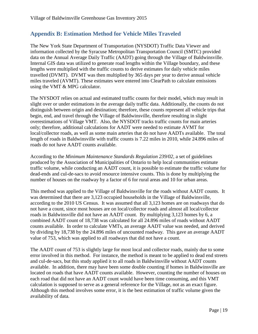## <span id="page-19-0"></span>**Appendix B: Estimation Method for Vehicle Miles Traveled**

The New York State Department of Transportation (NYSDOT) Traffic Data Viewer and information collected by the Syracuse Metropolitan Transportation Council (SMTC) provided data on the Annual Average Daily Traffic (AADT) going through the Village of Baldwinsville. Internal GIS data was utilized to generate road lengths within the Village boundary, and these lengths were multiplied with the traffic counts to derive estimates for daily vehicle miles travelled (DVMT). DVMT was then multiplied by 365 days per year to derive annual vehicle miles traveled (AVMT). These estimates were entered into ClearPath to calculate emissions using the VMT & MPG calculator.

The NYSDOT relies on actual and estimated traffic counts for their model, which may result in slight over or under estimations in the average daily traffic data. Additionally, the counts do not distinguish between origin and destination; therefore, these counts represent all vehicle trips that begin, end, and travel through the Village of Baldwinsville, therefore resulting in slight overestimations of Village VMT. Also, the NYSDOT tracks traffic counts for main arteries only; therefore, additional calculations for AADT were needed to estimate AVMT for local/collector roads, as well as some main arteries that do not have AADTs available. The total length of roads in Baldwinsville with traffic counts is 7.22 miles in 2010, while 24.896 miles of roads do not have AADT counts available.

According to the *Minimum Maintenance Standards Regulation 239/02*, a set of guidelines produced by the Association of Municipalities of Ontario to help local communities estimate traffic volume, while conducting an AADT count, it is possible to estimate the traffic volume for dead-ends and cul-de-sacs to avoid resource intensive counts. This is done by multiplying the number of houses on the roadway by a factor of 6 for rural areas and 10 for urban areas.

This method was applied to the Village of Baldwinsville for the roads without AADT counts. It was determined that there are 3,123 occupied households in the Village of Baldwinsville, according to the 2010 US Census. It was assumed that all 3,123 homes are on roadways that do not have a count, since most houses are on local/collector roads and almost all local/collector roads in Baldwinsville did not have an AADT count. By multiplying 3,123 homes by 6, a combined AADT count of 18,738 was calculated for all 24.896 miles of roads without AADT counts available. In order to calculate VMTs, an average AADT value was needed, and derived by dividing by 18,738 by the 24.896 miles of uncounted roadway. This gave an average AADT value of 753, which was applied to all roadways that did not have a count.

The AADT count of 753 is slightly large for most local and collector roads, mainly due to some error involved in this method. For instance, the method is meant to be applied to dead end streets and cul-de-sacs, but this study applied it to all roads in Baldwinsville without AADT counts available. In addition, there may have been some double counting if homes in Baldwinsville are located on roads that have AADT counts available. However, counting the number of houses on each road that did not have an AADT count would have been time consuming, and this VMT calculation is supposed to serve as a general reference for the Village, not as an exact figure. Although this method involves some error, it is the best estimation of traffic volume given the availability of data.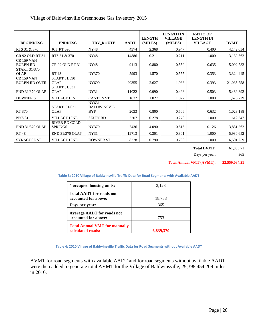| <b>BEGINDESC</b>                          | <b>ENDDESC</b>                     | <b>TDV_ROUTE</b>                           | <b>AADT</b> | <b>LENGTH</b><br>(MILES) | <b>LENGTH IN</b><br><b>VILLAGE</b><br>(MILES) | <b>RATIO OF</b><br><b>LENGTH IN</b><br><b>VILLAGE</b> | <b>DVMT</b> |
|-------------------------------------------|------------------------------------|--------------------------------------------|-------------|--------------------------|-----------------------------------------------|-------------------------------------------------------|-------------|
| RTS 31 & 370                              | <b>JCT RT 690</b>                  | <b>NY48</b>                                | 4374        | 2.368                    | 0.947                                         | 0.400                                                 | 4,142.634   |
| CR 92 OLD RT 31                           | RTS 31 & 370                       | <b>NY48</b>                                | 14886       | 0.211                    | 0.211                                         | 1.000                                                 | 3,139.562   |
| <b>CR 159 VAN</b><br><b>BUREN RD</b>      | CR 92 OLD RT 31                    | <b>NY48</b>                                | 9113        | 0.880                    | 0.559                                         | 0.635                                                 | 5,092.782   |
| START 31/370<br><b>OLAP</b>               | RT 48                              | NY370                                      | 5993        | 1.570                    | 0.555                                         | 0.353                                                 | 3,324.445   |
| <b>CR 159 VAN</b><br><b>BUREN RD OVER</b> | START 31/690<br><b>OLAP</b>        | NY690                                      | 20355       | 2.627                    | 1.033                                         | 0.393                                                 | 21,035.758  |
| <b>END 31/370 OLAP</b>                    | <b>START 31/631</b><br><b>OLAP</b> | NY31                                       | 11022       | 0.990                    | 0.498                                         | 0.503                                                 | 5,489.892   |
| <b>DOWNER ST</b>                          | <b>VILLAGE LINE</b>                | <b>CANTON ST</b>                           | 1632        | 1.027                    | 1.027                                         | 1.000                                                 | 1,676.729   |
| RT 370                                    | START 31/631<br><b>OLAP</b>        | NY631.<br><b>BALDWINSVIL</b><br><b>BYP</b> | 2033        | 0.800                    | 0.506                                         | 0.632                                                 | 1,028.188   |
| <b>NYS 31</b>                             | <b>VILLAGE LINE</b>                | <b>SIXTY RD</b>                            | 2207        | 0.278                    | 0.278                                         | 1.000                                                 | 612.547     |
| <b>END 31/370 OLAP</b>                    | RIVER RD COLD<br><b>SPRINGS</b>    | NY370                                      | 7436        | 4.090                    | 0.515                                         | 0.126                                                 | 3,831.262   |
| RT 48                                     | <b>END 31/370 OLAP</b>             | NY31                                       | 19713       | 0.301                    | 0.301                                         | 1.000                                                 | 5,930.652   |
| <b>SYRACUSE ST</b>                        | <b>VILLAGE LINE</b>                | <b>DOWNER ST</b>                           | 8228        | 0.790                    | 0.790                                         | 1.000                                                 | 6,501.259   |

**Total DVMT:** 61,805.71

Days per year: 365

**Total Annual VMT (AVMT): 22,559,084.21**

| Table 3: 2010 Village of Baldwinsville Traffic Data for Road Segments with Available AADT |  |
|-------------------------------------------------------------------------------------------|--|
|-------------------------------------------------------------------------------------------|--|

| # occupied housing units:                                 | 3,123     |
|-----------------------------------------------------------|-----------|
| <b>Total AADT</b> for roads not                           |           |
| accounted for above:                                      | 18,738    |
| Days per year:                                            | 365       |
| <b>Average AADT</b> for roads not<br>accounted for above: | 753       |
| <b>Total Annual VMT for manually</b><br>calculated roads: | 6,839,370 |

**Table 4: 2010 Village of Baldwinsville Traffic Data for Road Segments without Available AADT**

AVMT for road segments with available AADT and for road segments without available AADT were then added to generate total AVMT for the Village of Baldwinsville, 29,398,454.209 miles in 2010.